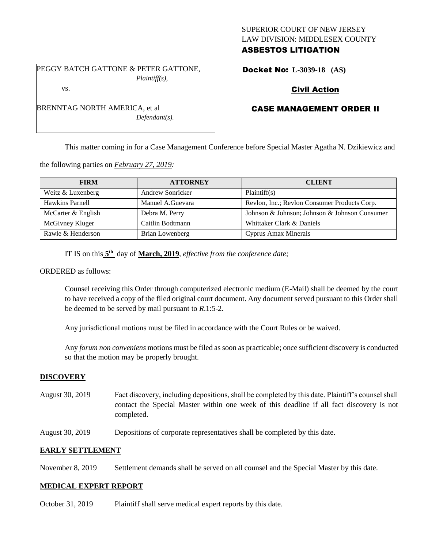# SUPERIOR COURT OF NEW JERSEY LAW DIVISION: MIDDLESEX COUNTY ASBESTOS LITIGATION

PEGGY BATCH GATTONE & PETER GATTONE, *Plaintiff(s),* vs.

*Defendant(s).*

Docket No: **L-3039-18 (AS)** 

# Civil Action

# CASE MANAGEMENT ORDER II

This matter coming in for a Case Management Conference before Special Master Agatha N. Dzikiewicz and

the following parties on *February 27, 2019:*

BRENNTAG NORTH AMERICA, et al

| <b>FIRM</b>        | <b>ATTORNEY</b>         | <b>CLIENT</b>                                 |
|--------------------|-------------------------|-----------------------------------------------|
| Weitz & Luxenberg  | <b>Andrew Sonricker</b> | Plaintiff(s)                                  |
| Hawkins Parnell    | Manuel A.Guevara        | Revlon, Inc.; Revlon Consumer Products Corp.  |
| McCarter & English | Debra M. Perry          | Johnson & Johnson; Johnson & Johnson Consumer |
| McGivney Kluger    | Caitlin Bodtmann        | Whittaker Clark & Daniels                     |
| Rawle & Henderson  | Brian Lowenberg         | Cyprus Amax Minerals                          |

IT IS on this **5 th** day of **March, 2019**, *effective from the conference date;*

ORDERED as follows:

Counsel receiving this Order through computerized electronic medium (E-Mail) shall be deemed by the court to have received a copy of the filed original court document. Any document served pursuant to this Order shall be deemed to be served by mail pursuant to *R*.1:5-2.

Any jurisdictional motions must be filed in accordance with the Court Rules or be waived.

Any *forum non conveniens* motions must be filed as soon as practicable; once sufficient discovery is conducted so that the motion may be properly brought.

## **DISCOVERY**

- August 30, 2019 Fact discovery, including depositions, shall be completed by this date. Plaintiff's counsel shall contact the Special Master within one week of this deadline if all fact discovery is not completed.
- August 30, 2019 Depositions of corporate representatives shall be completed by this date.

### **EARLY SETTLEMENT**

November 8, 2019 Settlement demands shall be served on all counsel and the Special Master by this date.

#### **MEDICAL EXPERT REPORT**

October 31, 2019 Plaintiff shall serve medical expert reports by this date.